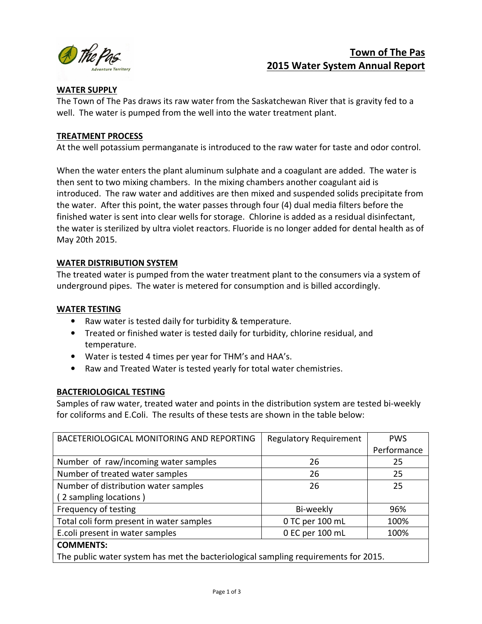

# Town of The Pas 2015 Water System Annual Report

# WATER SUPPLY

The Town of The Pas draws its raw water from the Saskatchewan River that is gravity fed to a well. The water is pumped from the well into the water treatment plant.

#### TREATMENT PROCESS

At the well potassium permanganate is introduced to the raw water for taste and odor control.

When the water enters the plant aluminum sulphate and a coagulant are added. The water is then sent to two mixing chambers. In the mixing chambers another coagulant aid is introduced. The raw water and additives are then mixed and suspended solids precipitate from the water. After this point, the water passes through four (4) dual media filters before the finished water is sent into clear wells for storage. Chlorine is added as a residual disinfectant, the water is sterilized by ultra violet reactors. Fluoride is no longer added for dental health as of May 20th 2015.

#### WATER DISTRIBUTION SYSTEM

The treated water is pumped from the water treatment plant to the consumers via a system of underground pipes. The water is metered for consumption and is billed accordingly.

### WATER TESTING

- Raw water is tested daily for turbidity & temperature.
- Treated or finished water is tested daily for turbidity, chlorine residual, and temperature.
- Water is tested 4 times per year for THM's and HAA's.
- Raw and Treated Water is tested yearly for total water chemistries.

# BACTERIOLOGICAL TESTING

Samples of raw water, treated water and points in the distribution system are tested bi-weekly for coliforms and E.Coli. The results of these tests are shown in the table below:

| BACETERIOLOGICAL MONITORING AND REPORTING                                           | <b>Regulatory Requirement</b> | <b>PWS</b>  |  |  |
|-------------------------------------------------------------------------------------|-------------------------------|-------------|--|--|
|                                                                                     |                               | Performance |  |  |
| Number of raw/incoming water samples                                                | 26                            | 25          |  |  |
| Number of treated water samples                                                     | 26                            | 25          |  |  |
| Number of distribution water samples                                                | 26                            | 25          |  |  |
| (2 sampling locations)                                                              |                               |             |  |  |
| Frequency of testing                                                                | Bi-weekly                     | 96%         |  |  |
| Total coli form present in water samples                                            | 0 TC per 100 mL               | 100%        |  |  |
| E.coli present in water samples                                                     | 0 EC per 100 mL               | 100%        |  |  |
| <b>COMMENTS:</b>                                                                    |                               |             |  |  |
| The public water system has met the bacteriological sampling requirements for 2015. |                               |             |  |  |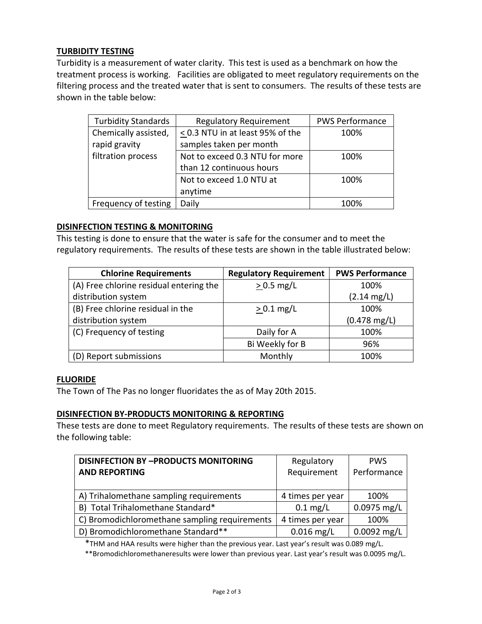# TURBIDITY TESTING

Turbidity is a measurement of water clarity. This test is used as a benchmark on how the treatment process is working. Facilities are obligated to meet regulatory requirements on the filtering process and the treated water that is sent to consumers. The results of these tests are shown in the table below:

| <b>Turbidity Standards</b> | <b>Regulatory Requirement</b>         | <b>PWS Performance</b> |
|----------------------------|---------------------------------------|------------------------|
| Chemically assisted,       | $\leq$ 0.3 NTU in at least 95% of the | 100%                   |
| rapid gravity              | samples taken per month               |                        |
| filtration process         | Not to exceed 0.3 NTU for more        | 100%                   |
|                            | than 12 continuous hours              |                        |
|                            | Not to exceed 1.0 NTU at              | 100%                   |
|                            | anytime                               |                        |
| Frequency of testing       | Daily                                 | 100%                   |

#### DISINFECTION TESTING & MONITORING

This testing is done to ensure that the water is safe for the consumer and to meet the regulatory requirements. The results of these tests are shown in the table illustrated below:

| <b>Chlorine Requirements</b>            | <b>Regulatory Requirement</b> | <b>PWS Performance</b> |
|-----------------------------------------|-------------------------------|------------------------|
| (A) Free chlorine residual entering the | $> 0.5$ mg/L                  | 100%                   |
| distribution system                     |                               | $(2.14 \text{ mg/L})$  |
| (B) Free chlorine residual in the       | $> 0.1$ mg/L                  | 100%                   |
| distribution system                     |                               | $(0.478 \text{ mg/L})$ |
| (C) Frequency of testing                | Daily for A                   | 100%                   |
|                                         | Bi Weekly for B               | 96%                    |
| (D) Report submissions                  | Monthly                       | 100%                   |

#### **FLUORIDE**

The Town of The Pas no longer fluoridates the as of May 20th 2015.

#### DISINFECTION BY-PRODUCTS MONITORING & REPORTING

These tests are done to meet Regulatory requirements. The results of these tests are shown on the following table:

| <b>DISINFECTION BY -PRODUCTS MONITORING</b>   | Regulatory         | <b>PWS</b>    |
|-----------------------------------------------|--------------------|---------------|
| <b>AND REPORTING</b>                          | Requirement        | Performance   |
|                                               |                    |               |
| A) Trihalomethane sampling requirements       | 4 times per year   | 100%          |
| B) Total Trihalomethane Standard*             | $0.1 \text{ mg/L}$ | $0.0975$ mg/L |
| C) Bromodichloromethane sampling requirements | 4 times per year   | 100%          |
| D) Bromodichloromethane Standard**            | $0.016$ mg/L       | $0.0092$ mg/L |

\*THM and HAA results were higher than the previous year. Last year's result was 0.089 mg/L.

\*\*Bromodichloromethaneresults were lower than previous year. Last year's result was 0.0095 mg/L.